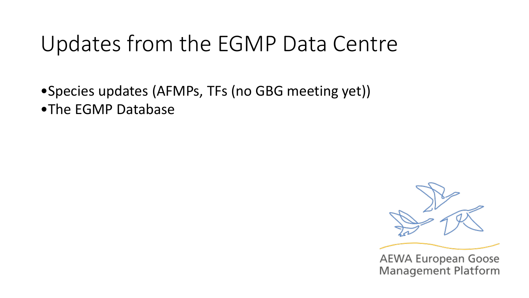# Updates from the EGMP Data Centre

•Species updates (AFMPs, TFs (no GBG meeting yet)) •The EGMP Database





**AEWA European Goose Management Platform**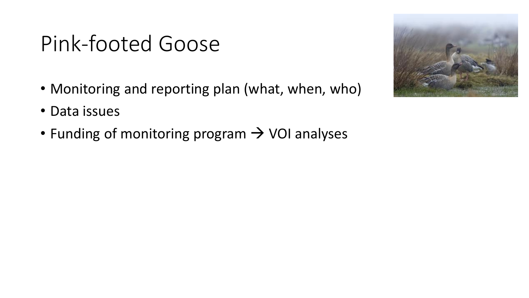# Pink-footed Goose

- Monitoring and reporting plan (what, when, who)
- Data issues
- Funding of monitoring program  $\rightarrow$  VOI analyses

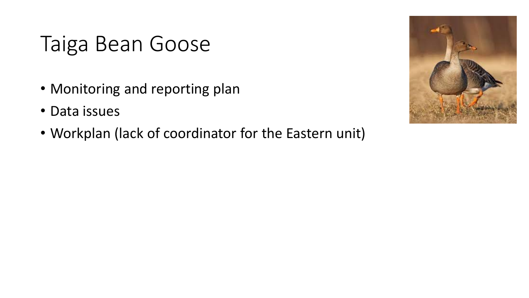## Taiga Bean Goose

- Monitoring and reporting plan
- Data issues
- Workplan (lack of coordinator for the Eastern unit)

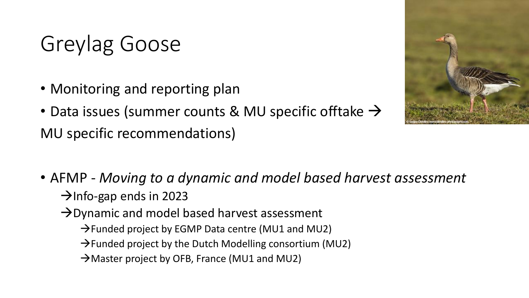# Greylag Goose

- Monitoring and reporting plan
- Data issues (summer counts & MU specific offtake  $\rightarrow$ MU specific recommendations)



- AFMP *Moving to a dynamic and model based harvest assessment*  $\rightarrow$ Info-gap ends in 2023
	- $\rightarrow$  Dynamic and model based harvest assessment
		- $\rightarrow$  Funded project by EGMP Data centre (MU1 and MU2)
		- $\rightarrow$  Funded project by the Dutch Modelling consortium (MU2)
		- $\rightarrow$  Master project by OFB, France (MU1 and MU2)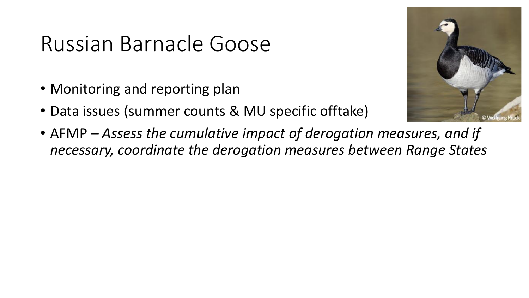### Russian Barnacle Goose

- Monitoring and reporting plan
- Data issues (summer counts & MU specific offtake)
- AFMP *Assess the cumulative impact of derogation measures, and if necessary, coordinate the derogation measures between Range States*

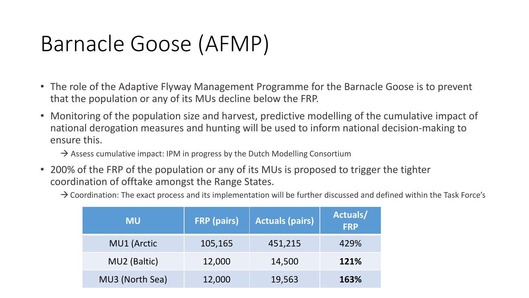# Barnacle Goose (AFMP)

- The role of the Adaptive Flyway Management Programme for the Barnacle Goose is to prevent that the population or any of its MUs decline below the FRP.
- Monitoring of the population size and harvest, predictive modelling of the cumulative impact of national derogation measures and hunting will be used to inform national decision-making to ensure this.

 $\rightarrow$  Assess cumulative impact: IPM in progress by the Dutch Modelling Consortium

• 200% of the FRP of the population or any of its MUs is proposed to trigger the tighter coordination of offtake amongst the Range States.

 $\rightarrow$  Coordination: The exact process and its implementation will be further discussed and defined within the Task Force's

| <b>MU</b>       | <b>FRP</b> (pairs) | <b>Actuals (pairs)</b> | Actuals/<br><b>FRP</b> |
|-----------------|--------------------|------------------------|------------------------|
| MU1 (Arctic     | 105,165            | 451,215                | 429%                   |
| MU2 (Baltic)    | 12,000             | 14,500                 | 121%                   |
| MU3 (North Sea) | 12,000             | 19,563                 | 163%                   |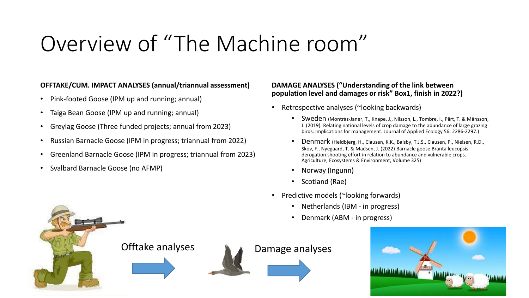# Overview of "The Machine room"

### **OFFTAKE/CUM. IMPACT ANALYSES (annual/triannual assessment)**

- Pink-footed Goose (IPM up and running; annual)
- Taiga Bean Goose (IPM up and running; annual)
- Greylag Goose (Three funded projects; annual from 2023)
- Russian Barnacle Goose (IPM in progress; triannual from 2022)
- Greenland Barnacle Goose (IPM in progress; triannual from 2023)
- Svalbard Barnacle Goose (no AFMP)

### **DAMAGE ANALYSES ("Understanding of the link between population level and damages or risk" Box1, finish in 2022?)**

- Retrospective analyses (~looking backwards)
	- Sweden (Montràz-Janer, T., Knape, J., Nilsson, L., Tombre, I., Pärt, T. & Månsson, J. (2019). Relating national levels of crop damage to the abundance of large grazing birds: Implications for management. Journal of Applied Ecology 56: 2286-2297.)
	- Denmark (Heldbjerg, H., Clausen, K.K., Balsby, T.J.S., Clausen, P., Nielsen, R.D., Skov, F., Nyegaard, T. & Madsen, J. (2022) Barnacle goose Branta leucopsis derogation shooting effort in relation to abundance and vulnerable crops. Agriculture, Ecosystems & Environment, Volume 325)
	- Norway (Ingunn)
	- Scotland (Rae)
- Predictive models (~looking forwards)
	- Netherlands (IBM in progress)
	- Denmark (ABM in progress)



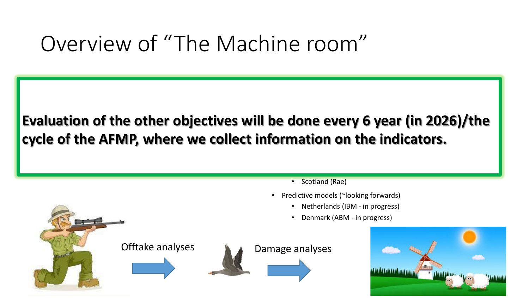## Overview of "The Machine room"

#### $\mathbf{r}$  Taiga Bean Goose (IPM up and running; and running; and running; and running; and running; annual) • Greylag Goose (Three funded projects; annual from 2023) le of the AFMP, where we collec • Sweden (Montràz-Janer, T., Knape, J., Nilsson, L., Tombre, I., Pärt, T. & Månsson, Evaluation of the other objectives will be done every 6 year (in 2026)/the birds: Implications for management. Journal of Applied Ecology 56: 2286-2297.) hation on the indicators.  $\blacksquare$ cycle of the AFMP, where we collect information on the indicators.

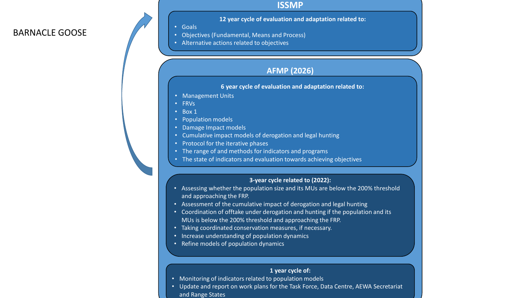### BARNACLE GOOSE

### **ISSMP**

### **12 year cycle of evaluation and adaptation related to:**

• Goals

- Objectives (Fundamental, Means and Process)
- Alternative actions related to objectives

### **AFMP (2026)**

### **6 year cycle of evaluation and adaptation related to:**

- Management Units
- FRVs

• Box 1

- Population models
- Damage Impact models
- Cumulative impact models of derogation and legal hunting
- Protocol for the iterative phases
- The range of and methods for indicators and programs
- The state of indicators and evaluation towards achieving objectives

### **3-year cycle related to (2022):**

- Assessing whether the population size and its MUs are below the 200% threshold and approaching the FRP.
- Assessment of the cumulative impact of derogation and legal hunting
- Coordination of offtake under derogation and hunting if the population and its MUs is below the 200% threshold and approaching the FRP.
- Taking coordinated conservation measures, if necessary.
- Increase understanding of population dynamics
- Refine models of population dynamics

### **1 year cycle of:**

- Monitoring of indicators related to population models
- Update and report on work plans for the Task Force, Data Centre, AEWA Secretariat and Range States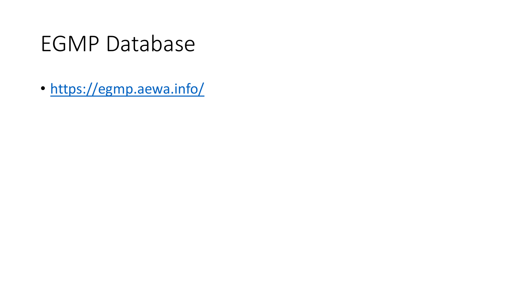# EGMP Database

• <https://egmp.aewa.info/>